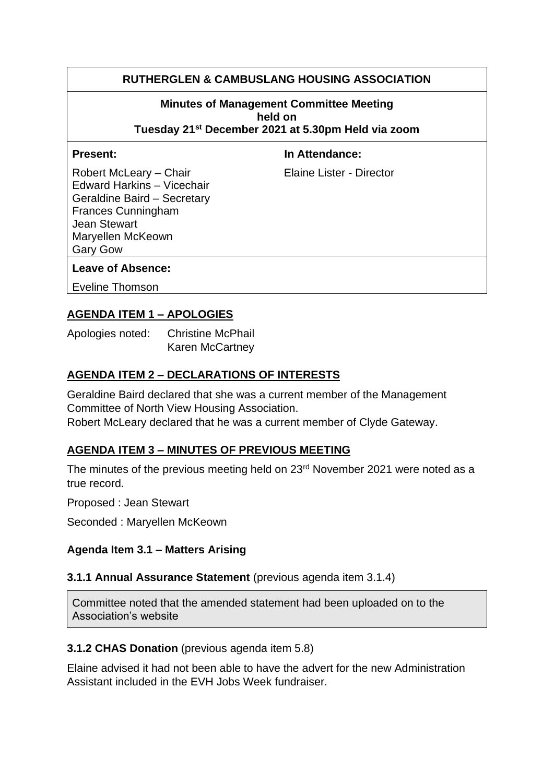# **RUTHERGLEN & CAMBUSLANG HOUSING ASSOCIATION**

#### **Minutes of Management Committee Meeting held on**

**Tuesday 21st December 2021 at 5.30pm Held via zoom**

**Present:** In Attendance:

Robert McLeary – Chair **Elaine Lister - Director** Edward Harkins – Vicechair Geraldine Baird – Secretary Frances Cunningham Jean Stewart Maryellen McKeown Gary Gow

#### **Leave of Absence:**

Eveline Thomson

# **AGENDA ITEM 1 – APOLOGIES**

Apologies noted: Christine McPhail Karen McCartney

# **AGENDA ITEM 2 – DECLARATIONS OF INTERESTS**

Geraldine Baird declared that she was a current member of the Management Committee of North View Housing Association.

Robert McLeary declared that he was a current member of Clyde Gateway.

# **AGENDA ITEM 3 – MINUTES OF PREVIOUS MEETING**

The minutes of the previous meeting held on 23<sup>rd</sup> November 2021 were noted as a true record.

Proposed : Jean Stewart

Seconded : Maryellen McKeown

#### **Agenda Item 3.1 – Matters Arising**

#### **3.1.1 Annual Assurance Statement** (previous agenda item 3.1.4)

Committee noted that the amended statement had been uploaded on to the Association's website

#### **3.1.2 CHAS Donation** (previous agenda item 5.8)

Elaine advised it had not been able to have the advert for the new Administration Assistant included in the EVH Jobs Week fundraiser.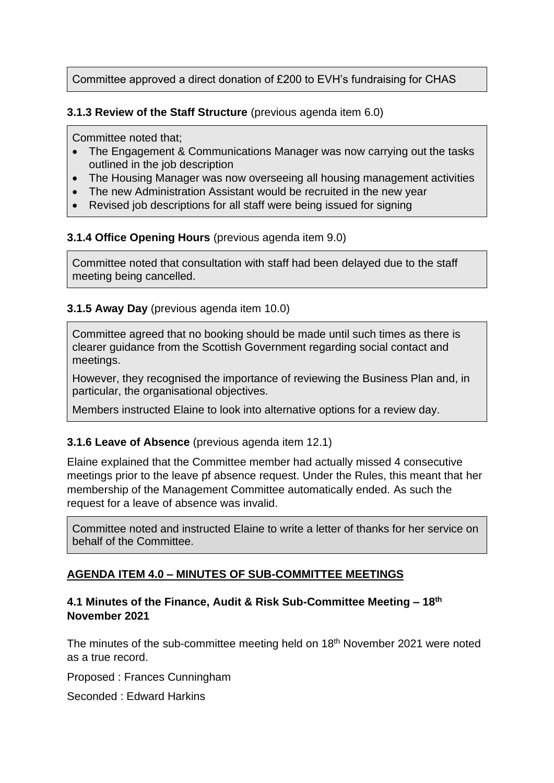Committee approved a direct donation of £200 to EVH's fundraising for CHAS

**3.1.3 Review of the Staff Structure** (previous agenda item 6.0)

Committee noted that;

- The Engagement & Communications Manager was now carrying out the tasks outlined in the job description
- The Housing Manager was now overseeing all housing management activities
- The new Administration Assistant would be recruited in the new year
- Revised job descriptions for all staff were being issued for signing

### **3.1.4 Office Opening Hours** (previous agenda item 9.0)

Committee noted that consultation with staff had been delayed due to the staff meeting being cancelled.

### **3.1.5 Away Day** (previous agenda item 10.0)

Committee agreed that no booking should be made until such times as there is clearer guidance from the Scottish Government regarding social contact and meetings.

However, they recognised the importance of reviewing the Business Plan and, in particular, the organisational objectives.

Members instructed Elaine to look into alternative options for a review day.

# **3.1.6 Leave of Absence** (previous agenda item 12.1)

Elaine explained that the Committee member had actually missed 4 consecutive meetings prior to the leave pf absence request. Under the Rules, this meant that her membership of the Management Committee automatically ended. As such the request for a leave of absence was invalid.

Committee noted and instructed Elaine to write a letter of thanks for her service on behalf of the Committee.

# **AGENDA ITEM 4.0 – MINUTES OF SUB-COMMITTEE MEETINGS**

### **4.1 Minutes of the Finance, Audit & Risk Sub-Committee Meeting – 18th November 2021**

The minutes of the sub-committee meeting held on 18<sup>th</sup> November 2021 were noted as a true record.

Proposed : Frances Cunningham

Seconded : Edward Harkins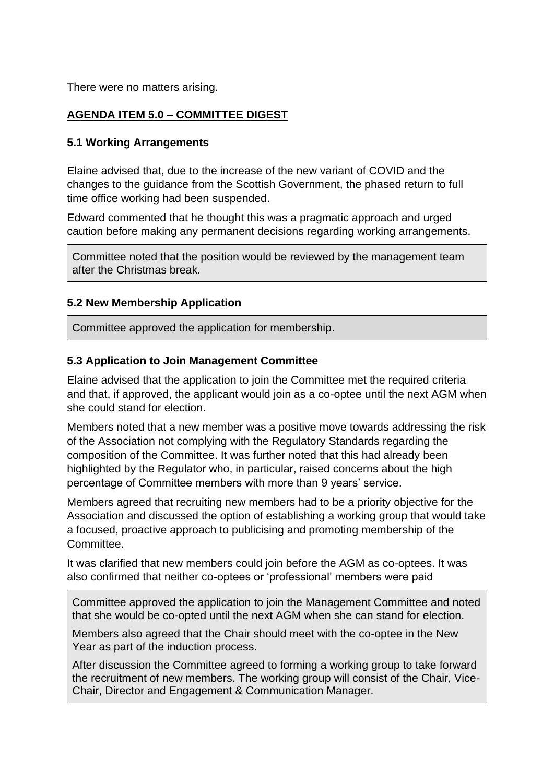There were no matters arising.

# **AGENDA ITEM 5.0 – COMMITTEE DIGEST**

#### **5.1 Working Arrangements**

Elaine advised that, due to the increase of the new variant of COVID and the changes to the guidance from the Scottish Government, the phased return to full time office working had been suspended.

Edward commented that he thought this was a pragmatic approach and urged caution before making any permanent decisions regarding working arrangements.

Committee noted that the position would be reviewed by the management team after the Christmas break.

#### **5.2 New Membership Application**

Committee approved the application for membership.

#### **5.3 Application to Join Management Committee**

Elaine advised that the application to join the Committee met the required criteria and that, if approved, the applicant would join as a co-optee until the next AGM when she could stand for election.

Members noted that a new member was a positive move towards addressing the risk of the Association not complying with the Regulatory Standards regarding the composition of the Committee. It was further noted that this had already been highlighted by the Regulator who, in particular, raised concerns about the high percentage of Committee members with more than 9 years' service.

Members agreed that recruiting new members had to be a priority objective for the Association and discussed the option of establishing a working group that would take a focused, proactive approach to publicising and promoting membership of the Committee.

It was clarified that new members could join before the AGM as co-optees. It was also confirmed that neither co-optees or 'professional' members were paid

Committee approved the application to join the Management Committee and noted that she would be co-opted until the next AGM when she can stand for election.

Members also agreed that the Chair should meet with the co-optee in the New Year as part of the induction process.

After discussion the Committee agreed to forming a working group to take forward the recruitment of new members. The working group will consist of the Chair, Vice-Chair, Director and Engagement & Communication Manager.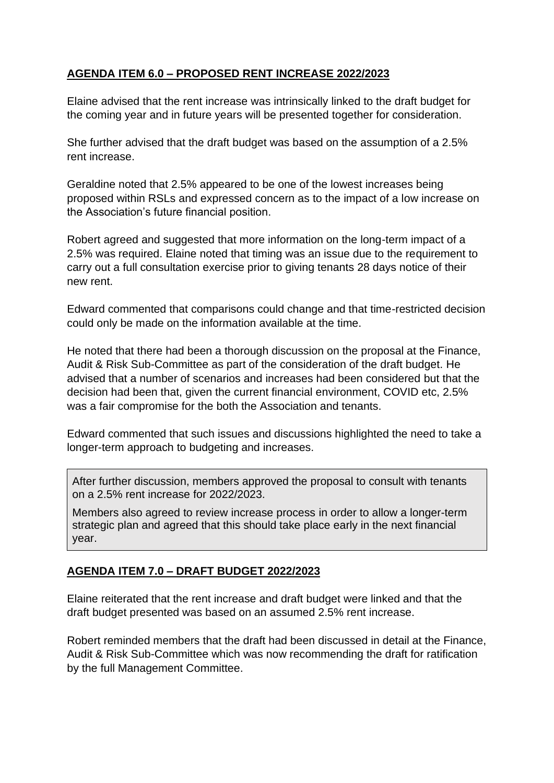# **AGENDA ITEM 6.0 – PROPOSED RENT INCREASE 2022/2023**

Elaine advised that the rent increase was intrinsically linked to the draft budget for the coming year and in future years will be presented together for consideration.

She further advised that the draft budget was based on the assumption of a 2.5% rent increase.

Geraldine noted that 2.5% appeared to be one of the lowest increases being proposed within RSLs and expressed concern as to the impact of a low increase on the Association's future financial position.

Robert agreed and suggested that more information on the long-term impact of a 2.5% was required. Elaine noted that timing was an issue due to the requirement to carry out a full consultation exercise prior to giving tenants 28 days notice of their new rent.

Edward commented that comparisons could change and that time-restricted decision could only be made on the information available at the time.

He noted that there had been a thorough discussion on the proposal at the Finance, Audit & Risk Sub-Committee as part of the consideration of the draft budget. He advised that a number of scenarios and increases had been considered but that the decision had been that, given the current financial environment, COVID etc, 2.5% was a fair compromise for the both the Association and tenants.

Edward commented that such issues and discussions highlighted the need to take a longer-term approach to budgeting and increases.

After further discussion, members approved the proposal to consult with tenants on a 2.5% rent increase for 2022/2023.

Members also agreed to review increase process in order to allow a longer-term strategic plan and agreed that this should take place early in the next financial year.

# **AGENDA ITEM 7.0 – DRAFT BUDGET 2022/2023**

Elaine reiterated that the rent increase and draft budget were linked and that the draft budget presented was based on an assumed 2.5% rent increase.

Robert reminded members that the draft had been discussed in detail at the Finance, Audit & Risk Sub-Committee which was now recommending the draft for ratification by the full Management Committee.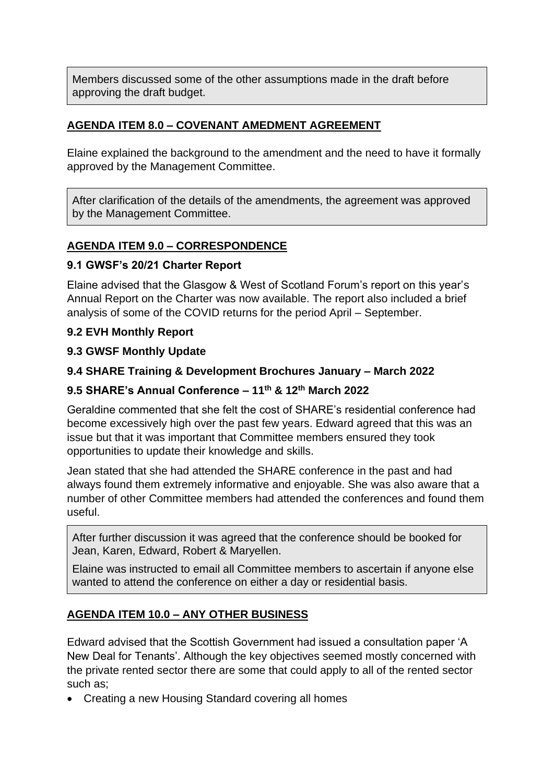Members discussed some of the other assumptions made in the draft before approving the draft budget.

# **AGENDA ITEM 8.0 – COVENANT AMEDMENT AGREEMENT**

Elaine explained the background to the amendment and the need to have it formally approved by the Management Committee.

After clarification of the details of the amendments, the agreement was approved by the Management Committee.

# **AGENDA ITEM 9.0 – CORRESPONDENCE**

### **9.1 GWSF's 20/21 Charter Report**

Elaine advised that the Glasgow & West of Scotland Forum's report on this year's Annual Report on the Charter was now available. The report also included a brief analysis of some of the COVID returns for the period April – September.

### **9.2 EVH Monthly Report**

### **9.3 GWSF Monthly Update**

# **9.4 SHARE Training & Development Brochures January – March 2022**

# **9.5 SHARE's Annual Conference – 11th & 12th March 2022**

Geraldine commented that she felt the cost of SHARE's residential conference had become excessively high over the past few years. Edward agreed that this was an issue but that it was important that Committee members ensured they took opportunities to update their knowledge and skills.

Jean stated that she had attended the SHARE conference in the past and had always found them extremely informative and enjoyable. She was also aware that a number of other Committee members had attended the conferences and found them useful.

After further discussion it was agreed that the conference should be booked for Jean, Karen, Edward, Robert & Maryellen.

Elaine was instructed to email all Committee members to ascertain if anyone else wanted to attend the conference on either a day or residential basis.

# **AGENDA ITEM 10.0 – ANY OTHER BUSINESS**

Edward advised that the Scottish Government had issued a consultation paper 'A New Deal for Tenants'. Although the key objectives seemed mostly concerned with the private rented sector there are some that could apply to all of the rented sector such as;

• Creating a new Housing Standard covering all homes